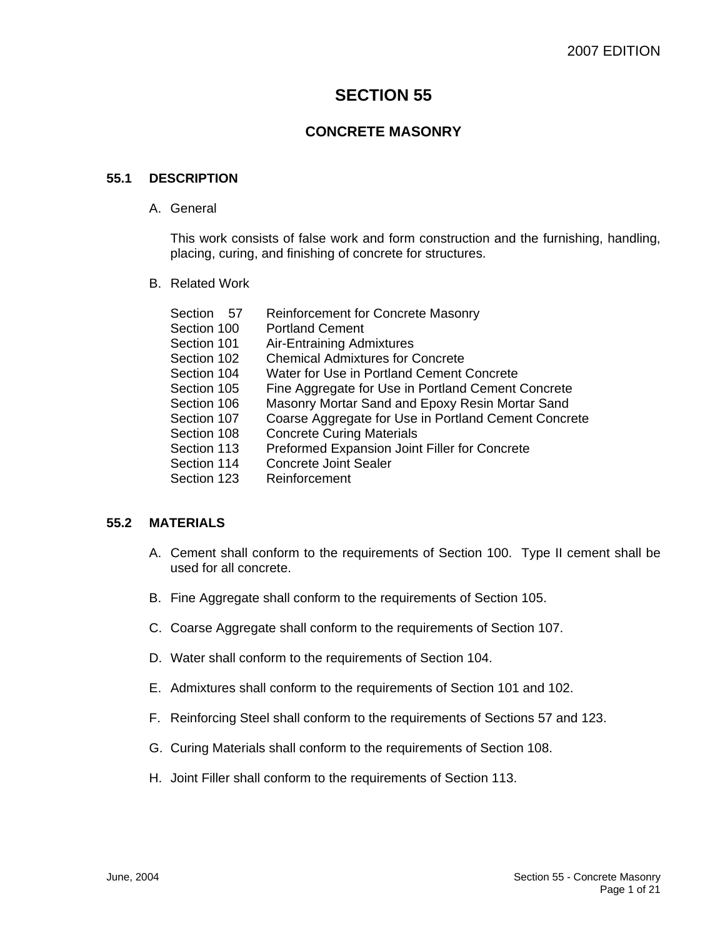# **SECTION 55**

## **CONCRETE MASONRY**

#### **55.1 DESCRIPTION**

A. General

This work consists of false work and form construction and the furnishing, handling, placing, curing, and finishing of concrete for structures.

B. Related Work

| Section 57  | <b>Reinforcement for Concrete Masonry</b>            |
|-------------|------------------------------------------------------|
| Section 100 | <b>Portland Cement</b>                               |
| Section 101 | <b>Air-Entraining Admixtures</b>                     |
| Section 102 | <b>Chemical Admixtures for Concrete</b>              |
| Section 104 | Water for Use in Portland Cement Concrete            |
| Section 105 | Fine Aggregate for Use in Portland Cement Concrete   |
| Section 106 | Masonry Mortar Sand and Epoxy Resin Mortar Sand      |
| Section 107 | Coarse Aggregate for Use in Portland Cement Concrete |
| Section 108 | <b>Concrete Curing Materials</b>                     |
| Section 113 | Preformed Expansion Joint Filler for Concrete        |
| Section 114 | <b>Concrete Joint Sealer</b>                         |
| Section 123 | Reinforcement                                        |
|             |                                                      |

## **55.2 MATERIALS**

- A. Cement shall conform to the requirements of Section 100. Type II cement shall be used for all concrete.
- B. Fine Aggregate shall conform to the requirements of Section 105.
- C. Coarse Aggregate shall conform to the requirements of Section 107.
- D. Water shall conform to the requirements of Section 104.
- E. Admixtures shall conform to the requirements of Section 101 and 102.
- F. Reinforcing Steel shall conform to the requirements of Sections 57 and 123.
- G. Curing Materials shall conform to the requirements of Section 108.
- H. Joint Filler shall conform to the requirements of Section 113.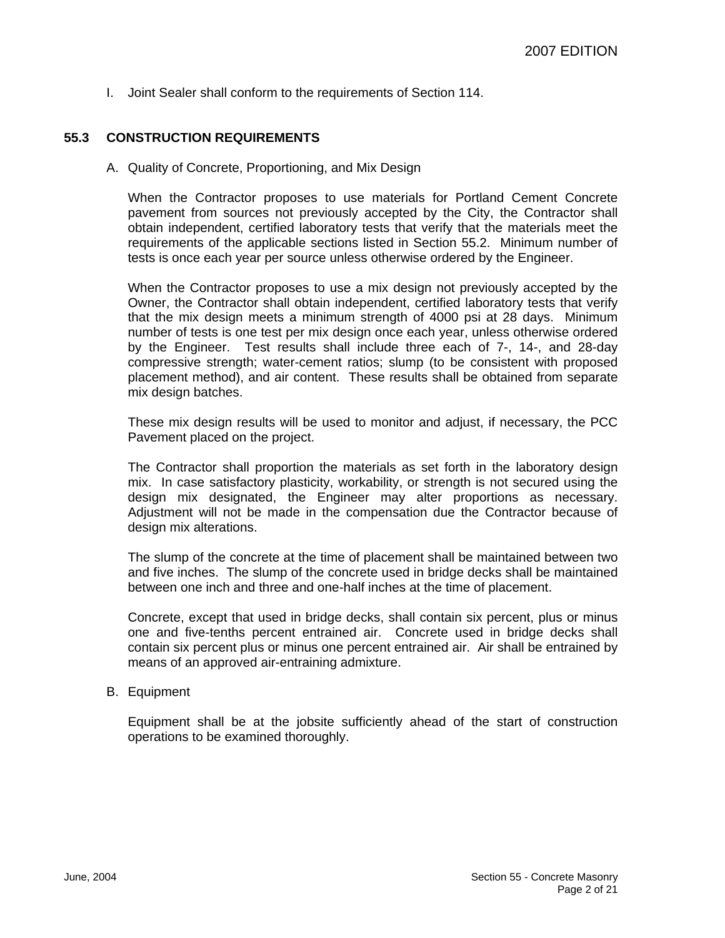I. Joint Sealer shall conform to the requirements of Section 114.

## **55.3 CONSTRUCTION REQUIREMENTS**

A. Quality of Concrete, Proportioning, and Mix Design

When the Contractor proposes to use materials for Portland Cement Concrete pavement from sources not previously accepted by the City, the Contractor shall obtain independent, certified laboratory tests that verify that the materials meet the requirements of the applicable sections listed in Section 55.2. Minimum number of tests is once each year per source unless otherwise ordered by the Engineer.

When the Contractor proposes to use a mix design not previously accepted by the Owner, the Contractor shall obtain independent, certified laboratory tests that verify that the mix design meets a minimum strength of 4000 psi at 28 days. Minimum number of tests is one test per mix design once each year, unless otherwise ordered by the Engineer. Test results shall include three each of 7-, 14-, and 28-day compressive strength; water-cement ratios; slump (to be consistent with proposed placement method), and air content. These results shall be obtained from separate mix design batches.

These mix design results will be used to monitor and adjust, if necessary, the PCC Pavement placed on the project.

The Contractor shall proportion the materials as set forth in the laboratory design mix. In case satisfactory plasticity, workability, or strength is not secured using the design mix designated, the Engineer may alter proportions as necessary. Adjustment will not be made in the compensation due the Contractor because of design mix alterations.

The slump of the concrete at the time of placement shall be maintained between two and five inches. The slump of the concrete used in bridge decks shall be maintained between one inch and three and one-half inches at the time of placement.

Concrete, except that used in bridge decks, shall contain six percent, plus or minus one and five-tenths percent entrained air. Concrete used in bridge decks shall contain six percent plus or minus one percent entrained air. Air shall be entrained by means of an approved air-entraining admixture.

#### B. Equipment

Equipment shall be at the jobsite sufficiently ahead of the start of construction operations to be examined thoroughly.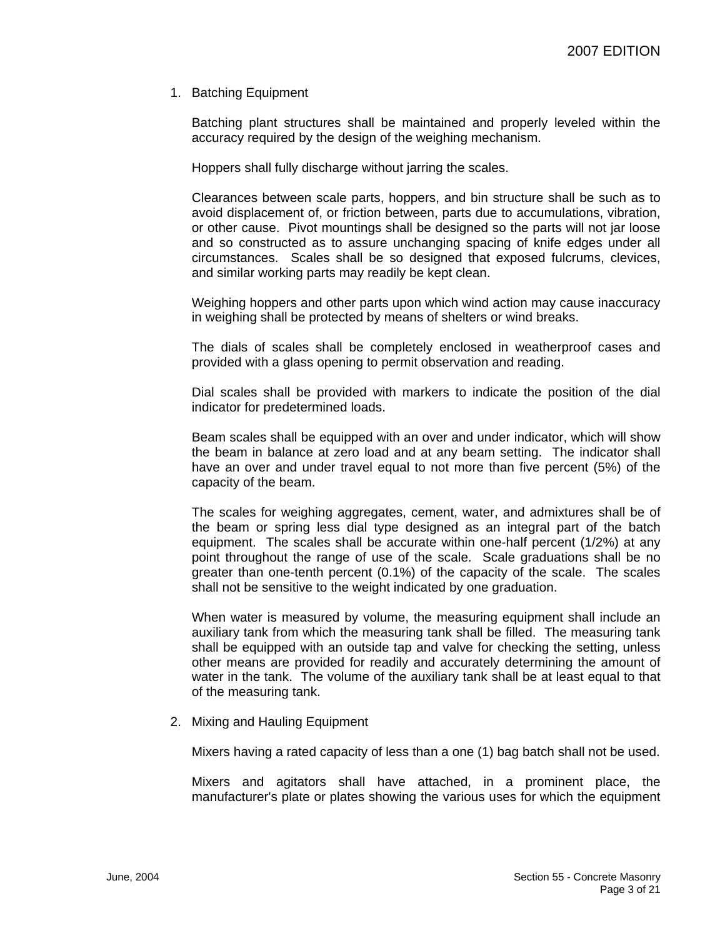1. Batching Equipment

Batching plant structures shall be maintained and properly leveled within the accuracy required by the design of the weighing mechanism.

Hoppers shall fully discharge without jarring the scales.

Clearances between scale parts, hoppers, and bin structure shall be such as to avoid displacement of, or friction between, parts due to accumulations, vibration, or other cause. Pivot mountings shall be designed so the parts will not jar loose and so constructed as to assure unchanging spacing of knife edges under all circumstances. Scales shall be so designed that exposed fulcrums, clevices, and similar working parts may readily be kept clean.

Weighing hoppers and other parts upon which wind action may cause inaccuracy in weighing shall be protected by means of shelters or wind breaks.

The dials of scales shall be completely enclosed in weatherproof cases and provided with a glass opening to permit observation and reading.

Dial scales shall be provided with markers to indicate the position of the dial indicator for predetermined loads.

Beam scales shall be equipped with an over and under indicator, which will show the beam in balance at zero load and at any beam setting. The indicator shall have an over and under travel equal to not more than five percent (5%) of the capacity of the beam.

The scales for weighing aggregates, cement, water, and admixtures shall be of the beam or spring less dial type designed as an integral part of the batch equipment. The scales shall be accurate within one-half percent (1/2%) at any point throughout the range of use of the scale. Scale graduations shall be no greater than one-tenth percent (0.1%) of the capacity of the scale. The scales shall not be sensitive to the weight indicated by one graduation.

When water is measured by volume, the measuring equipment shall include an auxiliary tank from which the measuring tank shall be filled. The measuring tank shall be equipped with an outside tap and valve for checking the setting, unless other means are provided for readily and accurately determining the amount of water in the tank. The volume of the auxiliary tank shall be at least equal to that of the measuring tank.

2. Mixing and Hauling Equipment

Mixers having a rated capacity of less than a one (1) bag batch shall not be used.

Mixers and agitators shall have attached, in a prominent place, the manufacturer's plate or plates showing the various uses for which the equipment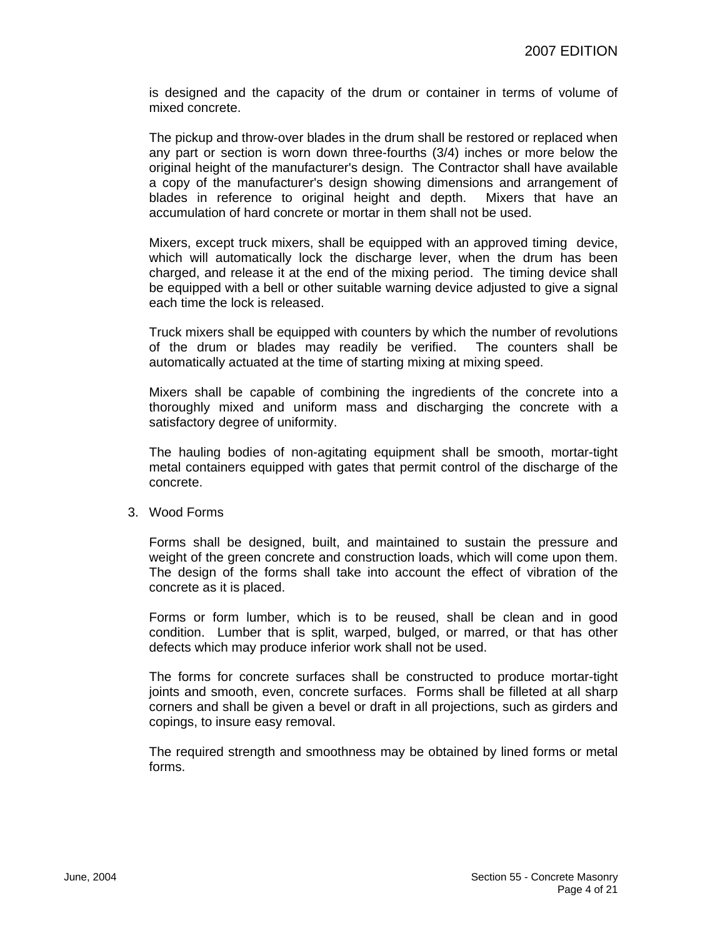is designed and the capacity of the drum or container in terms of volume of mixed concrete.

The pickup and throw-over blades in the drum shall be restored or replaced when any part or section is worn down three-fourths (3/4) inches or more below the original height of the manufacturer's design. The Contractor shall have available a copy of the manufacturer's design showing dimensions and arrangement of blades in reference to original height and depth. Mixers that have an accumulation of hard concrete or mortar in them shall not be used.

Mixers, except truck mixers, shall be equipped with an approved timing device, which will automatically lock the discharge lever, when the drum has been charged, and release it at the end of the mixing period. The timing device shall be equipped with a bell or other suitable warning device adjusted to give a signal each time the lock is released.

Truck mixers shall be equipped with counters by which the number of revolutions of the drum or blades may readily be verified. The counters shall be automatically actuated at the time of starting mixing at mixing speed.

Mixers shall be capable of combining the ingredients of the concrete into a thoroughly mixed and uniform mass and discharging the concrete with a satisfactory degree of uniformity.

The hauling bodies of non-agitating equipment shall be smooth, mortar-tight metal containers equipped with gates that permit control of the discharge of the concrete.

3. Wood Forms

Forms shall be designed, built, and maintained to sustain the pressure and weight of the green concrete and construction loads, which will come upon them. The design of the forms shall take into account the effect of vibration of the concrete as it is placed.

Forms or form lumber, which is to be reused, shall be clean and in good condition. Lumber that is split, warped, bulged, or marred, or that has other defects which may produce inferior work shall not be used.

The forms for concrete surfaces shall be constructed to produce mortar-tight joints and smooth, even, concrete surfaces. Forms shall be filleted at all sharp corners and shall be given a bevel or draft in all projections, such as girders and copings, to insure easy removal.

The required strength and smoothness may be obtained by lined forms or metal forms.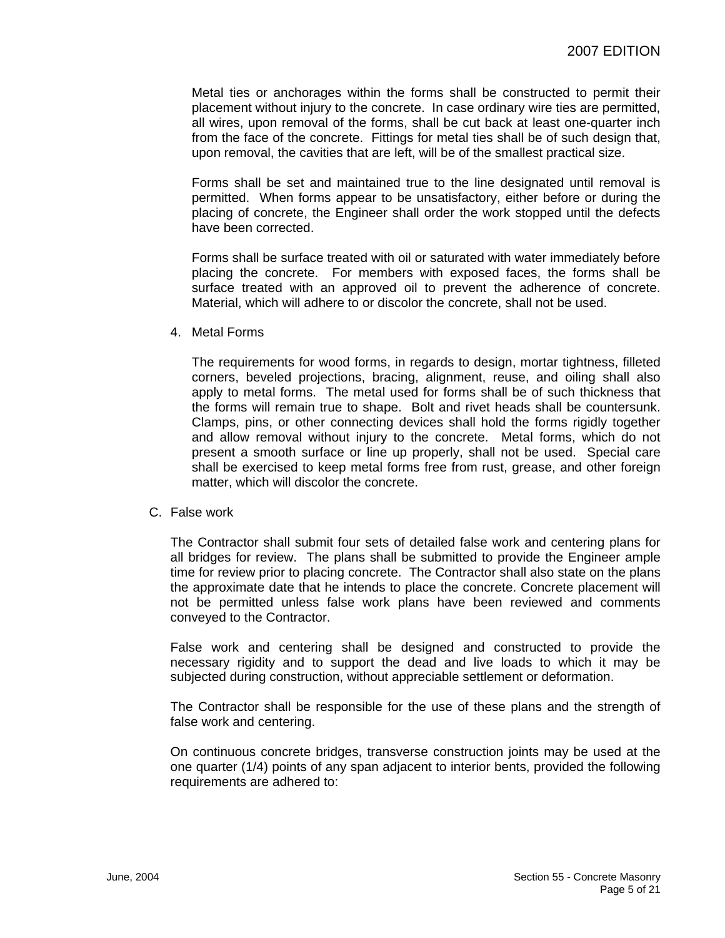Metal ties or anchorages within the forms shall be constructed to permit their placement without injury to the concrete. In case ordinary wire ties are permitted, all wires, upon removal of the forms, shall be cut back at least one-quarter inch from the face of the concrete. Fittings for metal ties shall be of such design that, upon removal, the cavities that are left, will be of the smallest practical size.

Forms shall be set and maintained true to the line designated until removal is permitted. When forms appear to be unsatisfactory, either before or during the placing of concrete, the Engineer shall order the work stopped until the defects have been corrected.

Forms shall be surface treated with oil or saturated with water immediately before placing the concrete. For members with exposed faces, the forms shall be surface treated with an approved oil to prevent the adherence of concrete. Material, which will adhere to or discolor the concrete, shall not be used.

4. Metal Forms

The requirements for wood forms, in regards to design, mortar tightness, filleted corners, beveled projections, bracing, alignment, reuse, and oiling shall also apply to metal forms. The metal used for forms shall be of such thickness that the forms will remain true to shape. Bolt and rivet heads shall be countersunk. Clamps, pins, or other connecting devices shall hold the forms rigidly together and allow removal without injury to the concrete. Metal forms, which do not present a smooth surface or line up properly, shall not be used. Special care shall be exercised to keep metal forms free from rust, grease, and other foreign matter, which will discolor the concrete.

C. False work

The Contractor shall submit four sets of detailed false work and centering plans for all bridges for review. The plans shall be submitted to provide the Engineer ample time for review prior to placing concrete. The Contractor shall also state on the plans the approximate date that he intends to place the concrete. Concrete placement will not be permitted unless false work plans have been reviewed and comments conveyed to the Contractor.

False work and centering shall be designed and constructed to provide the necessary rigidity and to support the dead and live loads to which it may be subjected during construction, without appreciable settlement or deformation.

The Contractor shall be responsible for the use of these plans and the strength of false work and centering.

On continuous concrete bridges, transverse construction joints may be used at the one quarter (1/4) points of any span adjacent to interior bents, provided the following requirements are adhered to: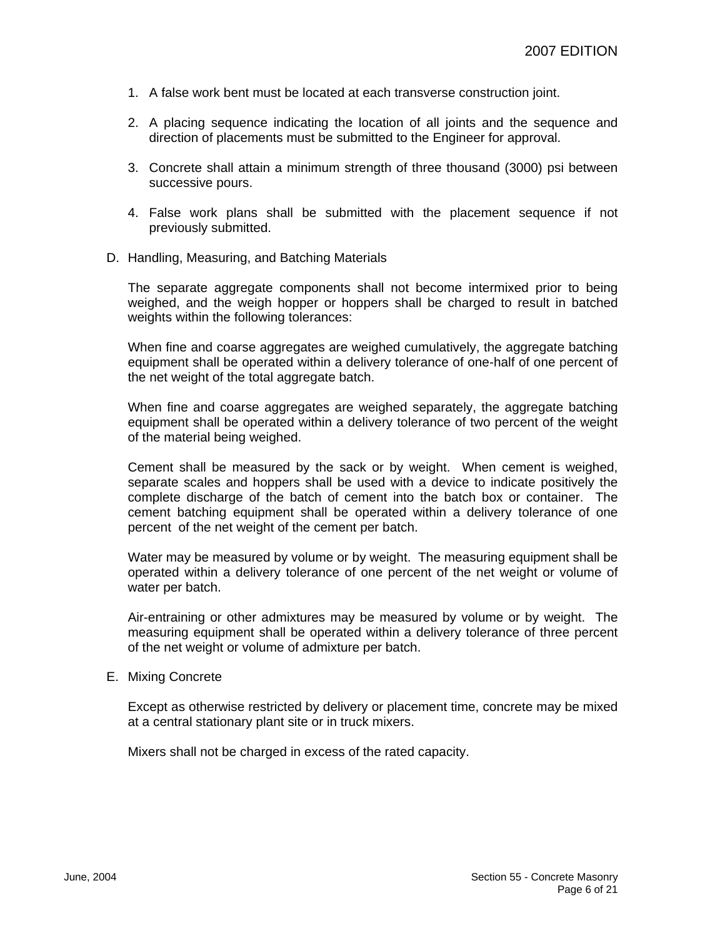- 1. A false work bent must be located at each transverse construction joint.
- 2. A placing sequence indicating the location of all joints and the sequence and direction of placements must be submitted to the Engineer for approval.
- 3. Concrete shall attain a minimum strength of three thousand (3000) psi between successive pours.
- 4. False work plans shall be submitted with the placement sequence if not previously submitted.
- D. Handling, Measuring, and Batching Materials

The separate aggregate components shall not become intermixed prior to being weighed, and the weigh hopper or hoppers shall be charged to result in batched weights within the following tolerances:

When fine and coarse aggregates are weighed cumulatively, the aggregate batching equipment shall be operated within a delivery tolerance of one-half of one percent of the net weight of the total aggregate batch.

When fine and coarse aggregates are weighed separately, the aggregate batching equipment shall be operated within a delivery tolerance of two percent of the weight of the material being weighed.

Cement shall be measured by the sack or by weight. When cement is weighed, separate scales and hoppers shall be used with a device to indicate positively the complete discharge of the batch of cement into the batch box or container. The cement batching equipment shall be operated within a delivery tolerance of one percent of the net weight of the cement per batch.

Water may be measured by volume or by weight. The measuring equipment shall be operated within a delivery tolerance of one percent of the net weight or volume of water per batch.

Air-entraining or other admixtures may be measured by volume or by weight. The measuring equipment shall be operated within a delivery tolerance of three percent of the net weight or volume of admixture per batch.

#### E. Mixing Concrete

Except as otherwise restricted by delivery or placement time, concrete may be mixed at a central stationary plant site or in truck mixers.

Mixers shall not be charged in excess of the rated capacity.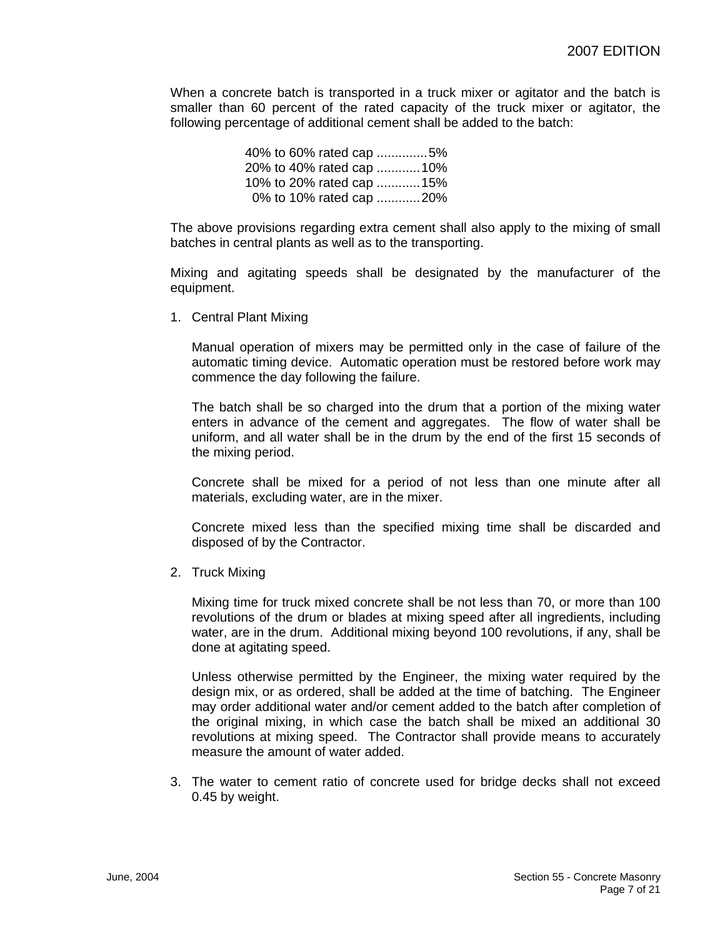When a concrete batch is transported in a truck mixer or agitator and the batch is smaller than 60 percent of the rated capacity of the truck mixer or agitator, the following percentage of additional cement shall be added to the batch:

|  |  | 40% to 60% rated cap 5%  |
|--|--|--------------------------|
|  |  | 20% to 40% rated cap 10% |
|  |  | 10% to 20% rated cap 15% |
|  |  | 0% to 10% rated cap 20%  |

The above provisions regarding extra cement shall also apply to the mixing of small batches in central plants as well as to the transporting.

Mixing and agitating speeds shall be designated by the manufacturer of the equipment.

1. Central Plant Mixing

Manual operation of mixers may be permitted only in the case of failure of the automatic timing device. Automatic operation must be restored before work may commence the day following the failure.

The batch shall be so charged into the drum that a portion of the mixing water enters in advance of the cement and aggregates. The flow of water shall be uniform, and all water shall be in the drum by the end of the first 15 seconds of the mixing period.

Concrete shall be mixed for a period of not less than one minute after all materials, excluding water, are in the mixer.

Concrete mixed less than the specified mixing time shall be discarded and disposed of by the Contractor.

2. Truck Mixing

Mixing time for truck mixed concrete shall be not less than 70, or more than 100 revolutions of the drum or blades at mixing speed after all ingredients, including water, are in the drum. Additional mixing beyond 100 revolutions, if any, shall be done at agitating speed.

Unless otherwise permitted by the Engineer, the mixing water required by the design mix, or as ordered, shall be added at the time of batching. The Engineer may order additional water and/or cement added to the batch after completion of the original mixing, in which case the batch shall be mixed an additional 30 revolutions at mixing speed. The Contractor shall provide means to accurately measure the amount of water added.

3. The water to cement ratio of concrete used for bridge decks shall not exceed 0.45 by weight.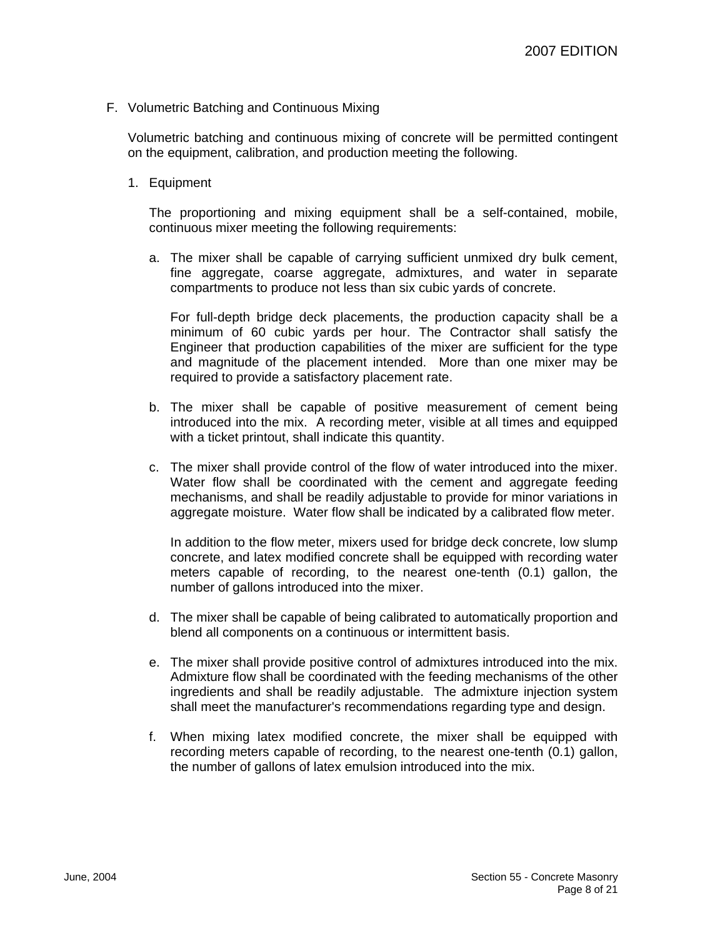F. Volumetric Batching and Continuous Mixing

Volumetric batching and continuous mixing of concrete will be permitted contingent on the equipment, calibration, and production meeting the following.

1. Equipment

The proportioning and mixing equipment shall be a self-contained, mobile, continuous mixer meeting the following requirements:

a. The mixer shall be capable of carrying sufficient unmixed dry bulk cement, fine aggregate, coarse aggregate, admixtures, and water in separate compartments to produce not less than six cubic yards of concrete.

For full-depth bridge deck placements, the production capacity shall be a minimum of 60 cubic yards per hour. The Contractor shall satisfy the Engineer that production capabilities of the mixer are sufficient for the type and magnitude of the placement intended. More than one mixer may be required to provide a satisfactory placement rate.

- b. The mixer shall be capable of positive measurement of cement being introduced into the mix. A recording meter, visible at all times and equipped with a ticket printout, shall indicate this quantity.
- c. The mixer shall provide control of the flow of water introduced into the mixer. Water flow shall be coordinated with the cement and aggregate feeding mechanisms, and shall be readily adjustable to provide for minor variations in aggregate moisture. Water flow shall be indicated by a calibrated flow meter.

In addition to the flow meter, mixers used for bridge deck concrete, low slump concrete, and latex modified concrete shall be equipped with recording water meters capable of recording, to the nearest one-tenth (0.1) gallon, the number of gallons introduced into the mixer.

- d. The mixer shall be capable of being calibrated to automatically proportion and blend all components on a continuous or intermittent basis.
- e. The mixer shall provide positive control of admixtures introduced into the mix. Admixture flow shall be coordinated with the feeding mechanisms of the other ingredients and shall be readily adjustable. The admixture injection system shall meet the manufacturer's recommendations regarding type and design.
- f. When mixing latex modified concrete, the mixer shall be equipped with recording meters capable of recording, to the nearest one-tenth (0.1) gallon, the number of gallons of latex emulsion introduced into the mix.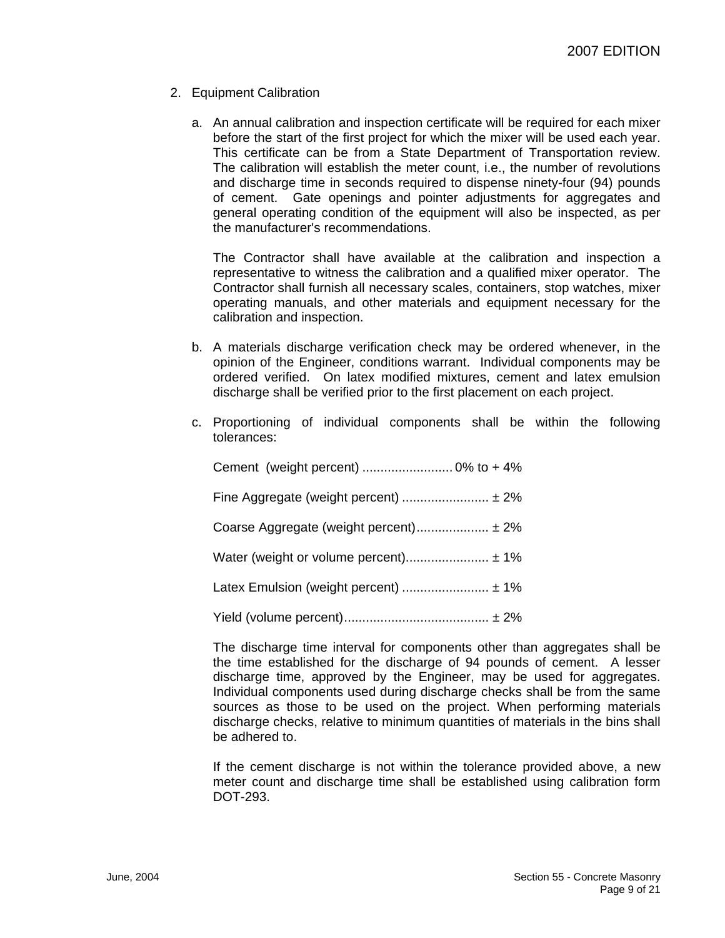- 2. Equipment Calibration
	- a. An annual calibration and inspection certificate will be required for each mixer before the start of the first project for which the mixer will be used each year. This certificate can be from a State Department of Transportation review. The calibration will establish the meter count, i.e., the number of revolutions and discharge time in seconds required to dispense ninety-four (94) pounds of cement. Gate openings and pointer adjustments for aggregates and general operating condition of the equipment will also be inspected, as per the manufacturer's recommendations.

The Contractor shall have available at the calibration and inspection a representative to witness the calibration and a qualified mixer operator. The Contractor shall furnish all necessary scales, containers, stop watches, mixer operating manuals, and other materials and equipment necessary for the calibration and inspection.

- b. A materials discharge verification check may be ordered whenever, in the opinion of the Engineer, conditions warrant. Individual components may be ordered verified. On latex modified mixtures, cement and latex emulsion discharge shall be verified prior to the first placement on each project.
- c. Proportioning of individual components shall be within the following tolerances:

| Fine Aggregate (weight percent)  ± 2%  |
|----------------------------------------|
| Coarse Aggregate (weight percent) ± 2% |
| Water (weight or volume percent) ± 1%  |
| Latex Emulsion (weight percent)  ± 1%  |
|                                        |

The discharge time interval for components other than aggregates shall be the time established for the discharge of 94 pounds of cement. A lesser discharge time, approved by the Engineer, may be used for aggregates. Individual components used during discharge checks shall be from the same sources as those to be used on the project. When performing materials discharge checks, relative to minimum quantities of materials in the bins shall be adhered to.

If the cement discharge is not within the tolerance provided above, a new meter count and discharge time shall be established using calibration form DOT-293.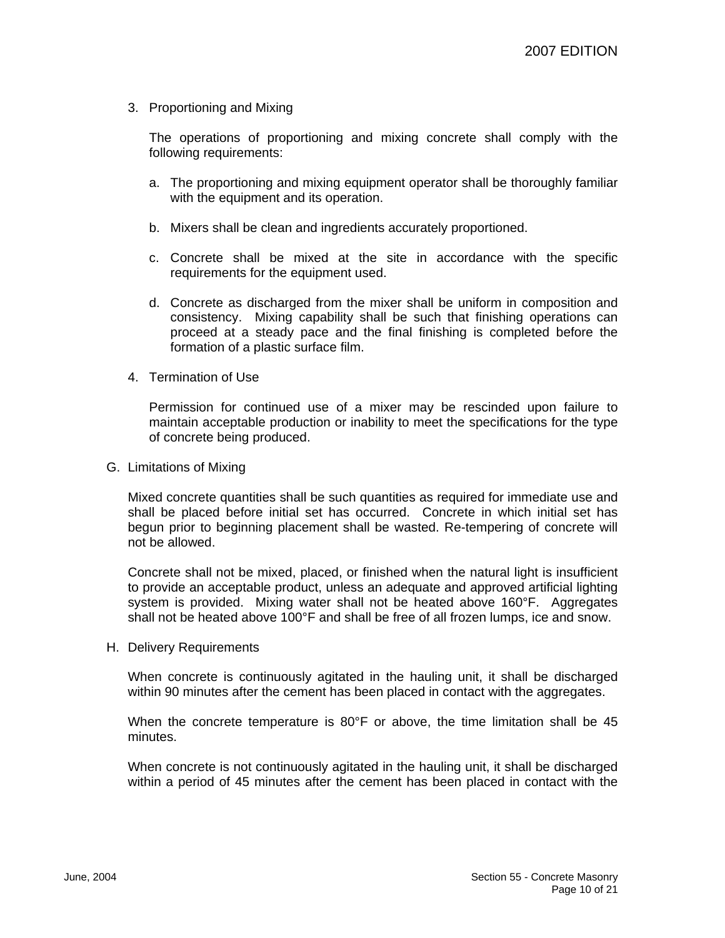3. Proportioning and Mixing

The operations of proportioning and mixing concrete shall comply with the following requirements:

- a. The proportioning and mixing equipment operator shall be thoroughly familiar with the equipment and its operation.
- b. Mixers shall be clean and ingredients accurately proportioned.
- c. Concrete shall be mixed at the site in accordance with the specific requirements for the equipment used.
- d. Concrete as discharged from the mixer shall be uniform in composition and consistency. Mixing capability shall be such that finishing operations can proceed at a steady pace and the final finishing is completed before the formation of a plastic surface film.
- 4. Termination of Use

Permission for continued use of a mixer may be rescinded upon failure to maintain acceptable production or inability to meet the specifications for the type of concrete being produced.

G. Limitations of Mixing

Mixed concrete quantities shall be such quantities as required for immediate use and shall be placed before initial set has occurred. Concrete in which initial set has begun prior to beginning placement shall be wasted. Re-tempering of concrete will not be allowed.

Concrete shall not be mixed, placed, or finished when the natural light is insufficient to provide an acceptable product, unless an adequate and approved artificial lighting system is provided. Mixing water shall not be heated above 160°F. Aggregates shall not be heated above 100°F and shall be free of all frozen lumps, ice and snow.

H. Delivery Requirements

When concrete is continuously agitated in the hauling unit, it shall be discharged within 90 minutes after the cement has been placed in contact with the aggregates.

When the concrete temperature is 80°F or above, the time limitation shall be 45 minutes.

When concrete is not continuously agitated in the hauling unit, it shall be discharged within a period of 45 minutes after the cement has been placed in contact with the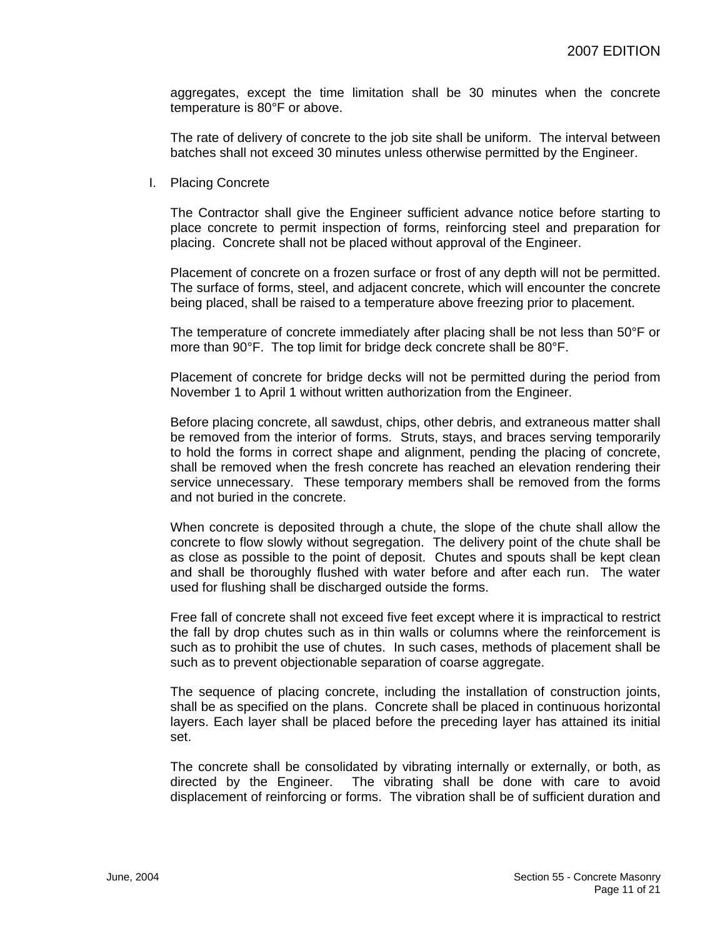aggregates, except the time limitation shall be 30 minutes when the concrete temperature is 80°F or above.

The rate of delivery of concrete to the job site shall be uniform. The interval between batches shall not exceed 30 minutes unless otherwise permitted by the Engineer.

I. Placing Concrete

The Contractor shall give the Engineer sufficient advance notice before starting to place concrete to permit inspection of forms, reinforcing steel and preparation for placing. Concrete shall not be placed without approval of the Engineer.

Placement of concrete on a frozen surface or frost of any depth will not be permitted. The surface of forms, steel, and adjacent concrete, which will encounter the concrete being placed, shall be raised to a temperature above freezing prior to placement.

The temperature of concrete immediately after placing shall be not less than 50°F or more than 90°F. The top limit for bridge deck concrete shall be 80°F.

Placement of concrete for bridge decks will not be permitted during the period from November 1 to April 1 without written authorization from the Engineer.

Before placing concrete, all sawdust, chips, other debris, and extraneous matter shall be removed from the interior of forms. Struts, stays, and braces serving temporarily to hold the forms in correct shape and alignment, pending the placing of concrete, shall be removed when the fresh concrete has reached an elevation rendering their service unnecessary. These temporary members shall be removed from the forms and not buried in the concrete.

When concrete is deposited through a chute, the slope of the chute shall allow the concrete to flow slowly without segregation. The delivery point of the chute shall be as close as possible to the point of deposit. Chutes and spouts shall be kept clean and shall be thoroughly flushed with water before and after each run. The water used for flushing shall be discharged outside the forms.

Free fall of concrete shall not exceed five feet except where it is impractical to restrict the fall by drop chutes such as in thin walls or columns where the reinforcement is such as to prohibit the use of chutes. In such cases, methods of placement shall be such as to prevent objectionable separation of coarse aggregate.

The sequence of placing concrete, including the installation of construction joints, shall be as specified on the plans. Concrete shall be placed in continuous horizontal layers. Each layer shall be placed before the preceding layer has attained its initial set.

The concrete shall be consolidated by vibrating internally or externally, or both, as directed by the Engineer. The vibrating shall be done with care to avoid displacement of reinforcing or forms. The vibration shall be of sufficient duration and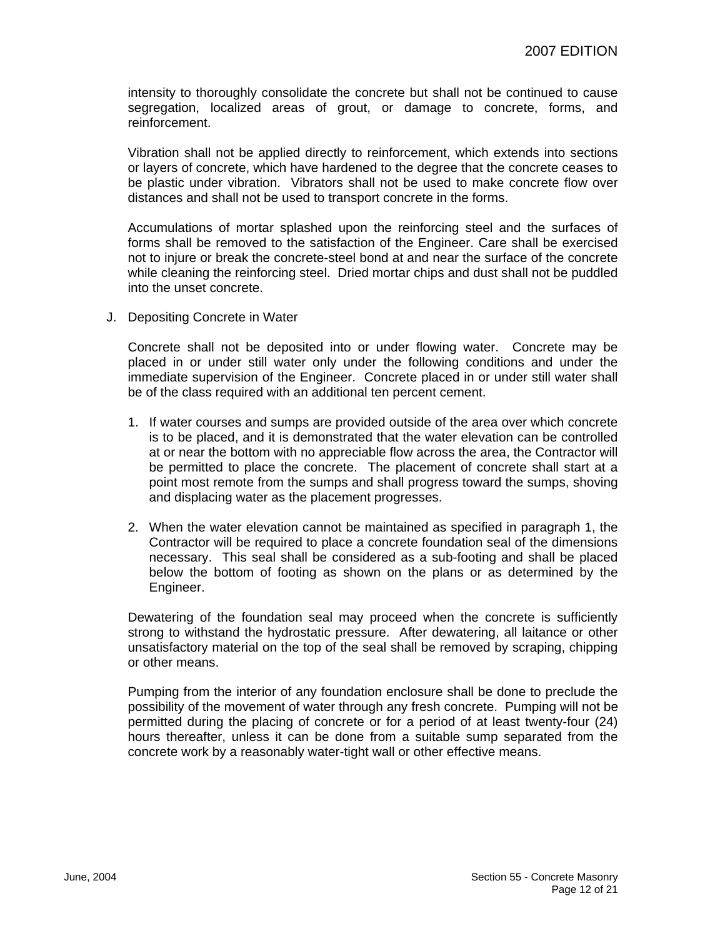intensity to thoroughly consolidate the concrete but shall not be continued to cause segregation, localized areas of grout, or damage to concrete, forms, and reinforcement.

Vibration shall not be applied directly to reinforcement, which extends into sections or layers of concrete, which have hardened to the degree that the concrete ceases to be plastic under vibration. Vibrators shall not be used to make concrete flow over distances and shall not be used to transport concrete in the forms.

Accumulations of mortar splashed upon the reinforcing steel and the surfaces of forms shall be removed to the satisfaction of the Engineer. Care shall be exercised not to injure or break the concrete-steel bond at and near the surface of the concrete while cleaning the reinforcing steel. Dried mortar chips and dust shall not be puddled into the unset concrete.

J. Depositing Concrete in Water

Concrete shall not be deposited into or under flowing water. Concrete may be placed in or under still water only under the following conditions and under the immediate supervision of the Engineer. Concrete placed in or under still water shall be of the class required with an additional ten percent cement.

- 1. If water courses and sumps are provided outside of the area over which concrete is to be placed, and it is demonstrated that the water elevation can be controlled at or near the bottom with no appreciable flow across the area, the Contractor will be permitted to place the concrete. The placement of concrete shall start at a point most remote from the sumps and shall progress toward the sumps, shoving and displacing water as the placement progresses.
- 2. When the water elevation cannot be maintained as specified in paragraph 1, the Contractor will be required to place a concrete foundation seal of the dimensions necessary. This seal shall be considered as a sub-footing and shall be placed below the bottom of footing as shown on the plans or as determined by the Engineer.

Dewatering of the foundation seal may proceed when the concrete is sufficiently strong to withstand the hydrostatic pressure. After dewatering, all laitance or other unsatisfactory material on the top of the seal shall be removed by scraping, chipping or other means.

Pumping from the interior of any foundation enclosure shall be done to preclude the possibility of the movement of water through any fresh concrete. Pumping will not be permitted during the placing of concrete or for a period of at least twenty-four (24) hours thereafter, unless it can be done from a suitable sump separated from the concrete work by a reasonably water-tight wall or other effective means.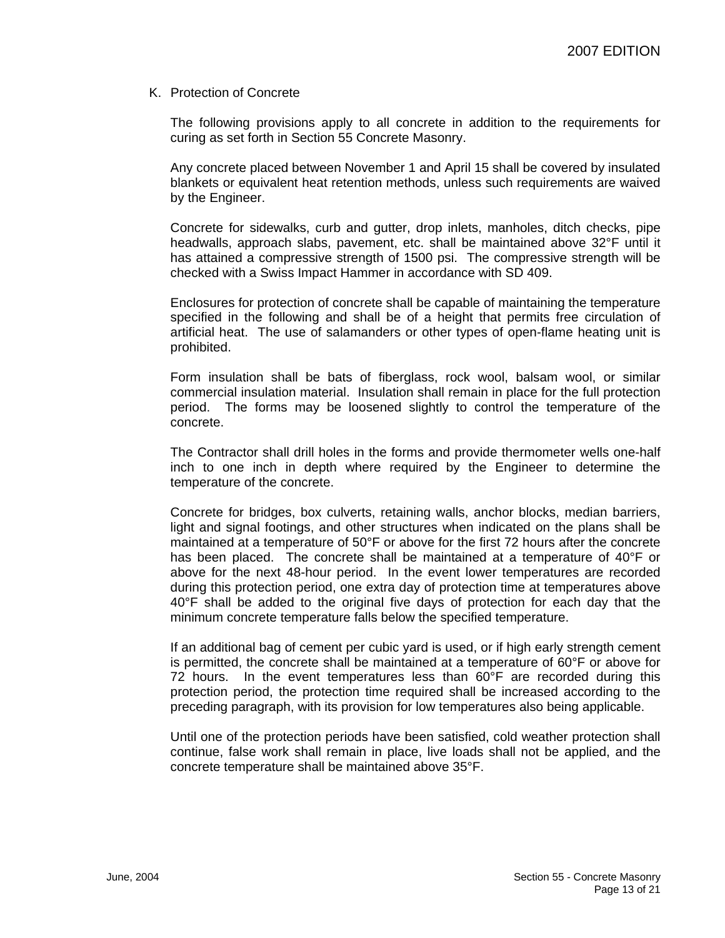#### K. Protection of Concrete

The following provisions apply to all concrete in addition to the requirements for curing as set forth in Section 55 Concrete Masonry.

Any concrete placed between November 1 and April 15 shall be covered by insulated blankets or equivalent heat retention methods, unless such requirements are waived by the Engineer.

Concrete for sidewalks, curb and gutter, drop inlets, manholes, ditch checks, pipe headwalls, approach slabs, pavement, etc. shall be maintained above 32°F until it has attained a compressive strength of 1500 psi. The compressive strength will be checked with a Swiss Impact Hammer in accordance with SD 409.

Enclosures for protection of concrete shall be capable of maintaining the temperature specified in the following and shall be of a height that permits free circulation of artificial heat. The use of salamanders or other types of open-flame heating unit is prohibited.

Form insulation shall be bats of fiberglass, rock wool, balsam wool, or similar commercial insulation material. Insulation shall remain in place for the full protection period. The forms may be loosened slightly to control the temperature of the concrete.

The Contractor shall drill holes in the forms and provide thermometer wells one-half inch to one inch in depth where required by the Engineer to determine the temperature of the concrete.

Concrete for bridges, box culverts, retaining walls, anchor blocks, median barriers, light and signal footings, and other structures when indicated on the plans shall be maintained at a temperature of 50°F or above for the first 72 hours after the concrete has been placed. The concrete shall be maintained at a temperature of 40°F or above for the next 48-hour period. In the event lower temperatures are recorded during this protection period, one extra day of protection time at temperatures above 40°F shall be added to the original five days of protection for each day that the minimum concrete temperature falls below the specified temperature.

If an additional bag of cement per cubic yard is used, or if high early strength cement is permitted, the concrete shall be maintained at a temperature of 60°F or above for 72 hours. In the event temperatures less than 60°F are recorded during this protection period, the protection time required shall be increased according to the preceding paragraph, with its provision for low temperatures also being applicable.

Until one of the protection periods have been satisfied, cold weather protection shall continue, false work shall remain in place, live loads shall not be applied, and the concrete temperature shall be maintained above 35°F.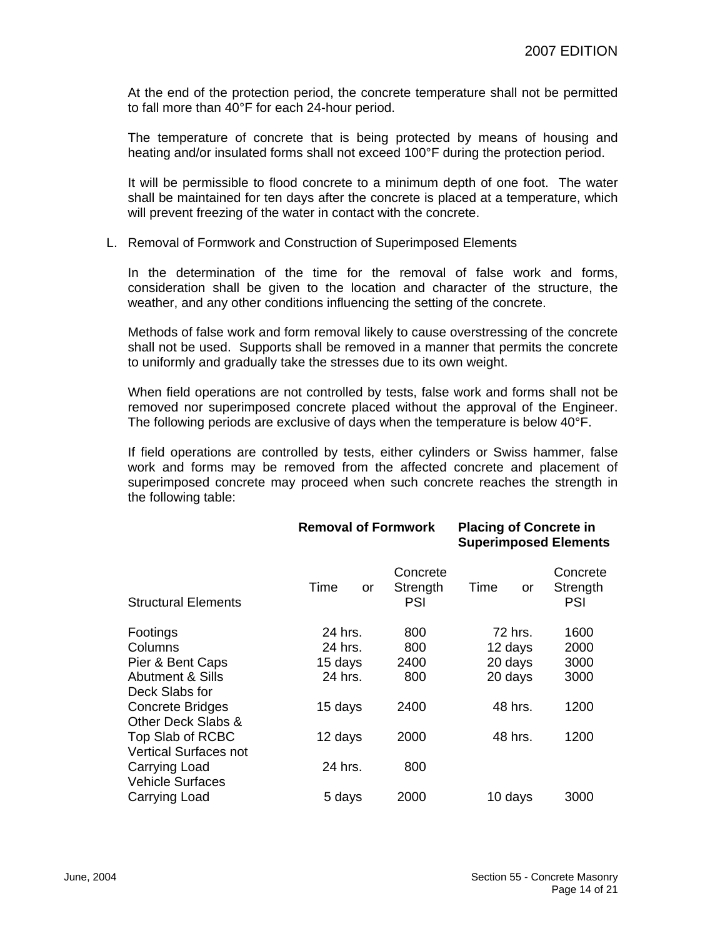At the end of the protection period, the concrete temperature shall not be permitted to fall more than 40°F for each 24-hour period.

The temperature of concrete that is being protected by means of housing and heating and/or insulated forms shall not exceed 100°F during the protection period.

It will be permissible to flood concrete to a minimum depth of one foot. The water shall be maintained for ten days after the concrete is placed at a temperature, which will prevent freezing of the water in contact with the concrete.

#### L. Removal of Formwork and Construction of Superimposed Elements

In the determination of the time for the removal of false work and forms, consideration shall be given to the location and character of the structure, the weather, and any other conditions influencing the setting of the concrete.

Methods of false work and form removal likely to cause overstressing of the concrete shall not be used. Supports shall be removed in a manner that permits the concrete to uniformly and gradually take the stresses due to its own weight.

When field operations are not controlled by tests, false work and forms shall not be removed nor superimposed concrete placed without the approval of the Engineer. The following periods are exclusive of days when the temperature is below 40°F.

If field operations are controlled by tests, either cylinders or Swiss hammer, false work and forms may be removed from the affected concrete and placement of superimposed concrete may proceed when such concrete reaches the strength in the following table:

**Removal of Formwork Placing of Concrete in** 

|                                                  |            |                                    | <b>Superimposed Elements</b> |                             |  |
|--------------------------------------------------|------------|------------------------------------|------------------------------|-----------------------------|--|
| <b>Structural Elements</b>                       | Time<br>or | Concrete<br>Strength<br><b>PSI</b> | Time<br>or                   | Concrete<br>Strength<br>PSI |  |
| Footings                                         | 24 hrs.    | 800                                | 72 hrs.                      | 1600                        |  |
| Columns                                          | 24 hrs.    | 800                                | 12 days                      | 2000                        |  |
| Pier & Bent Caps                                 | 15 days    | 2400                               | 20 days                      | 3000                        |  |
| <b>Abutment &amp; Sills</b><br>Deck Slabs for    | 24 hrs.    | 800                                | 20 days                      | 3000                        |  |
| <b>Concrete Bridges</b><br>Other Deck Slabs &    | 15 days    | 2400                               | 48 hrs.                      | 1200                        |  |
| Top Slab of RCBC<br><b>Vertical Surfaces not</b> | 12 days    | 2000                               | 48 hrs.                      | 1200                        |  |
| Carrying Load<br><b>Vehicle Surfaces</b>         | 24 hrs.    | 800                                |                              |                             |  |
| Carrying Load                                    | 5 days     | 2000                               | 10 days                      | 3000                        |  |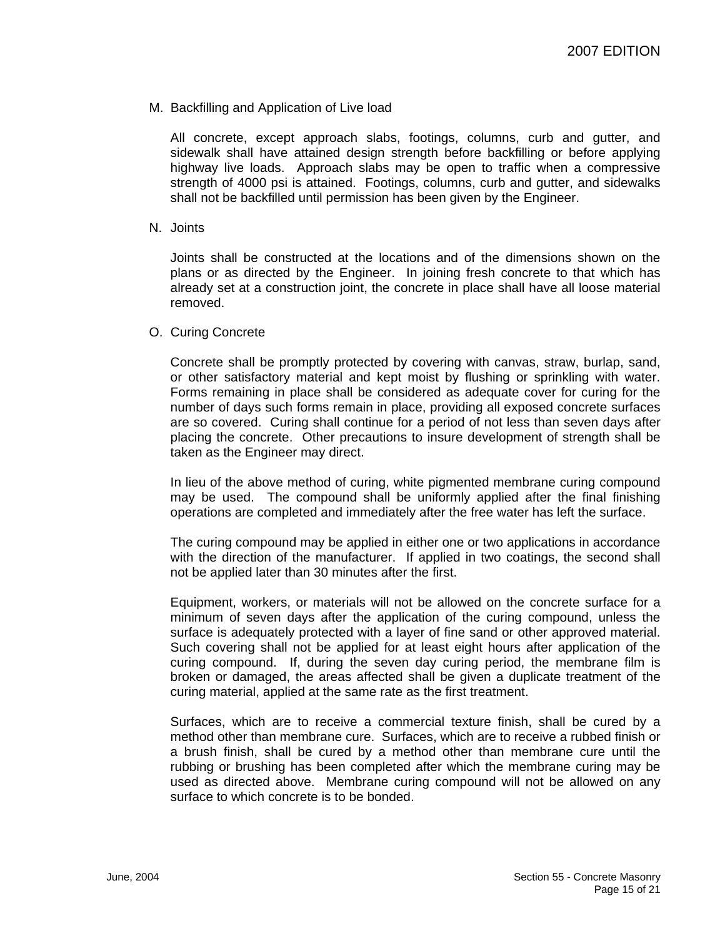M. Backfilling and Application of Live load

All concrete, except approach slabs, footings, columns, curb and gutter, and sidewalk shall have attained design strength before backfilling or before applying highway live loads. Approach slabs may be open to traffic when a compressive strength of 4000 psi is attained. Footings, columns, curb and gutter, and sidewalks shall not be backfilled until permission has been given by the Engineer.

N. Joints

Joints shall be constructed at the locations and of the dimensions shown on the plans or as directed by the Engineer. In joining fresh concrete to that which has already set at a construction joint, the concrete in place shall have all loose material removed.

O. Curing Concrete

Concrete shall be promptly protected by covering with canvas, straw, burlap, sand, or other satisfactory material and kept moist by flushing or sprinkling with water. Forms remaining in place shall be considered as adequate cover for curing for the number of days such forms remain in place, providing all exposed concrete surfaces are so covered. Curing shall continue for a period of not less than seven days after placing the concrete. Other precautions to insure development of strength shall be taken as the Engineer may direct.

In lieu of the above method of curing, white pigmented membrane curing compound may be used. The compound shall be uniformly applied after the final finishing operations are completed and immediately after the free water has left the surface.

The curing compound may be applied in either one or two applications in accordance with the direction of the manufacturer. If applied in two coatings, the second shall not be applied later than 30 minutes after the first.

Equipment, workers, or materials will not be allowed on the concrete surface for a minimum of seven days after the application of the curing compound, unless the surface is adequately protected with a layer of fine sand or other approved material. Such covering shall not be applied for at least eight hours after application of the curing compound. If, during the seven day curing period, the membrane film is broken or damaged, the areas affected shall be given a duplicate treatment of the curing material, applied at the same rate as the first treatment.

Surfaces, which are to receive a commercial texture finish, shall be cured by a method other than membrane cure. Surfaces, which are to receive a rubbed finish or a brush finish, shall be cured by a method other than membrane cure until the rubbing or brushing has been completed after which the membrane curing may be used as directed above. Membrane curing compound will not be allowed on any surface to which concrete is to be bonded.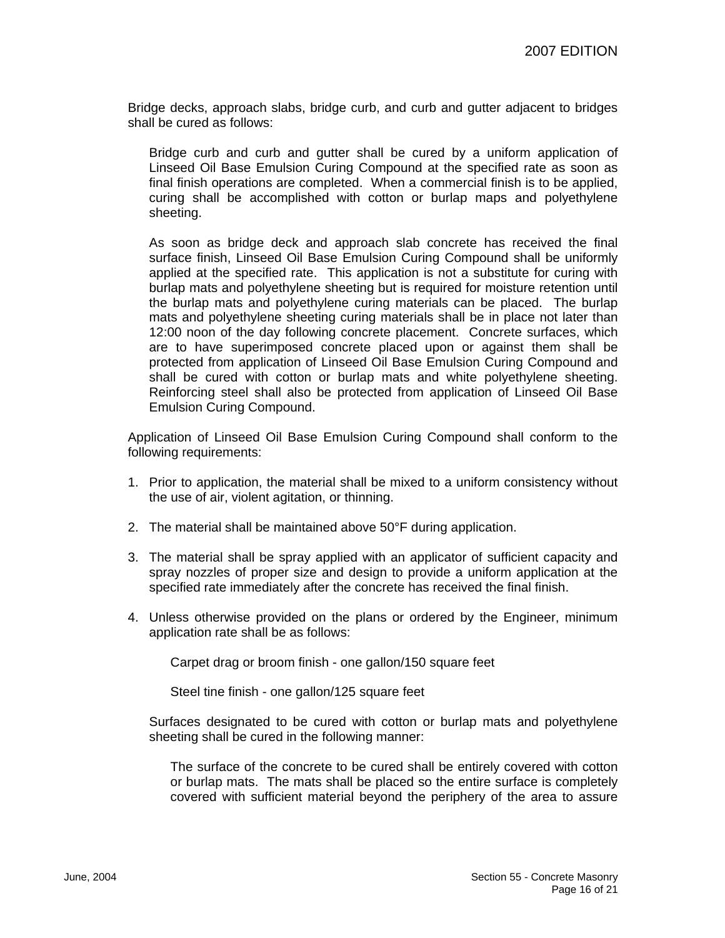Bridge decks, approach slabs, bridge curb, and curb and gutter adjacent to bridges shall be cured as follows:

Bridge curb and curb and gutter shall be cured by a uniform application of Linseed Oil Base Emulsion Curing Compound at the specified rate as soon as final finish operations are completed. When a commercial finish is to be applied, curing shall be accomplished with cotton or burlap maps and polyethylene sheeting.

As soon as bridge deck and approach slab concrete has received the final surface finish, Linseed Oil Base Emulsion Curing Compound shall be uniformly applied at the specified rate. This application is not a substitute for curing with burlap mats and polyethylene sheeting but is required for moisture retention until the burlap mats and polyethylene curing materials can be placed. The burlap mats and polyethylene sheeting curing materials shall be in place not later than 12:00 noon of the day following concrete placement. Concrete surfaces, which are to have superimposed concrete placed upon or against them shall be protected from application of Linseed Oil Base Emulsion Curing Compound and shall be cured with cotton or burlap mats and white polyethylene sheeting. Reinforcing steel shall also be protected from application of Linseed Oil Base Emulsion Curing Compound.

Application of Linseed Oil Base Emulsion Curing Compound shall conform to the following requirements:

- 1. Prior to application, the material shall be mixed to a uniform consistency without the use of air, violent agitation, or thinning.
- 2. The material shall be maintained above 50°F during application.
- 3. The material shall be spray applied with an applicator of sufficient capacity and spray nozzles of proper size and design to provide a uniform application at the specified rate immediately after the concrete has received the final finish.
- 4. Unless otherwise provided on the plans or ordered by the Engineer, minimum application rate shall be as follows:

Carpet drag or broom finish - one gallon/150 square feet

Steel tine finish - one gallon/125 square feet

Surfaces designated to be cured with cotton or burlap mats and polyethylene sheeting shall be cured in the following manner:

The surface of the concrete to be cured shall be entirely covered with cotton or burlap mats. The mats shall be placed so the entire surface is completely covered with sufficient material beyond the periphery of the area to assure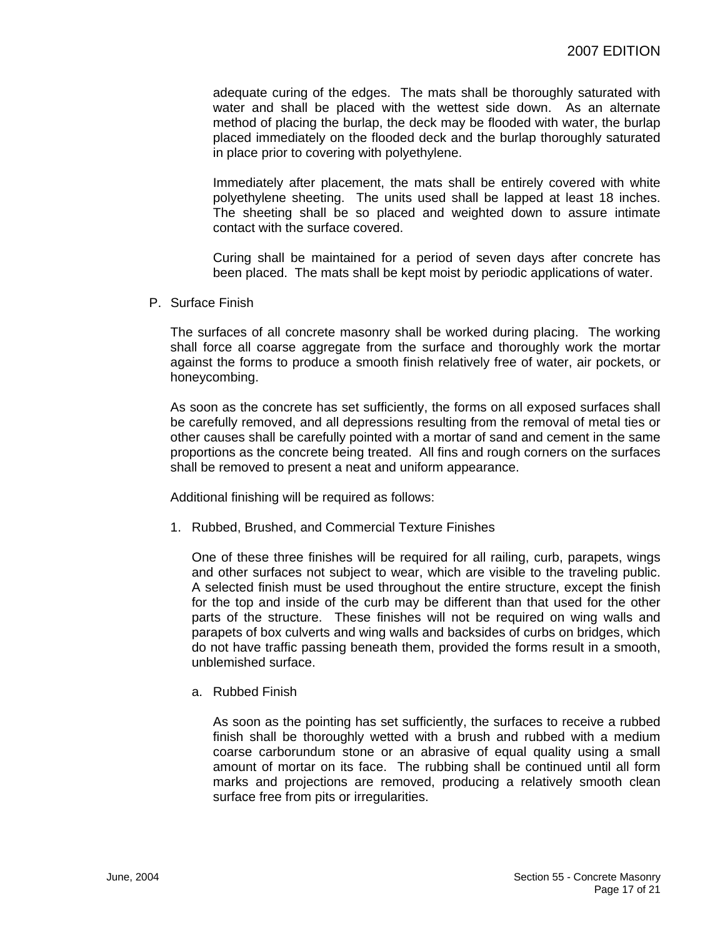adequate curing of the edges. The mats shall be thoroughly saturated with water and shall be placed with the wettest side down. As an alternate method of placing the burlap, the deck may be flooded with water, the burlap placed immediately on the flooded deck and the burlap thoroughly saturated in place prior to covering with polyethylene.

Immediately after placement, the mats shall be entirely covered with white polyethylene sheeting. The units used shall be lapped at least 18 inches. The sheeting shall be so placed and weighted down to assure intimate contact with the surface covered.

Curing shall be maintained for a period of seven days after concrete has been placed. The mats shall be kept moist by periodic applications of water.

P. Surface Finish

The surfaces of all concrete masonry shall be worked during placing. The working shall force all coarse aggregate from the surface and thoroughly work the mortar against the forms to produce a smooth finish relatively free of water, air pockets, or honeycombing.

As soon as the concrete has set sufficiently, the forms on all exposed surfaces shall be carefully removed, and all depressions resulting from the removal of metal ties or other causes shall be carefully pointed with a mortar of sand and cement in the same proportions as the concrete being treated. All fins and rough corners on the surfaces shall be removed to present a neat and uniform appearance.

Additional finishing will be required as follows:

1. Rubbed, Brushed, and Commercial Texture Finishes

One of these three finishes will be required for all railing, curb, parapets, wings and other surfaces not subject to wear, which are visible to the traveling public. A selected finish must be used throughout the entire structure, except the finish for the top and inside of the curb may be different than that used for the other parts of the structure. These finishes will not be required on wing walls and parapets of box culverts and wing walls and backsides of curbs on bridges, which do not have traffic passing beneath them, provided the forms result in a smooth, unblemished surface.

a. Rubbed Finish

As soon as the pointing has set sufficiently, the surfaces to receive a rubbed finish shall be thoroughly wetted with a brush and rubbed with a medium coarse carborundum stone or an abrasive of equal quality using a small amount of mortar on its face. The rubbing shall be continued until all form marks and projections are removed, producing a relatively smooth clean surface free from pits or irregularities.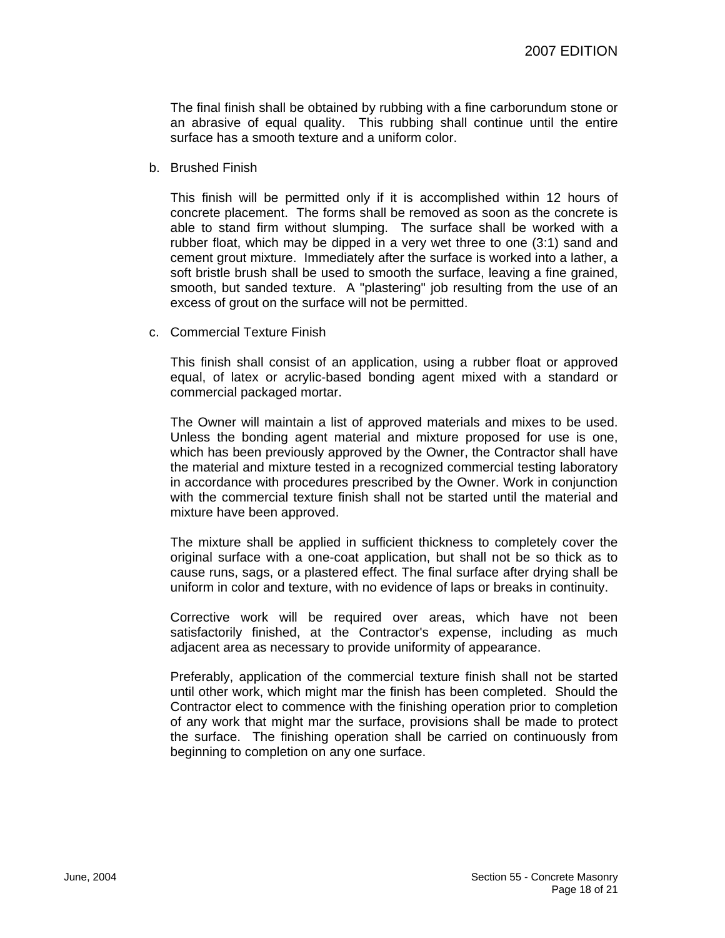The final finish shall be obtained by rubbing with a fine carborundum stone or an abrasive of equal quality. This rubbing shall continue until the entire surface has a smooth texture and a uniform color.

b. Brushed Finish

This finish will be permitted only if it is accomplished within 12 hours of concrete placement. The forms shall be removed as soon as the concrete is able to stand firm without slumping. The surface shall be worked with a rubber float, which may be dipped in a very wet three to one (3:1) sand and cement grout mixture. Immediately after the surface is worked into a lather, a soft bristle brush shall be used to smooth the surface, leaving a fine grained, smooth, but sanded texture. A "plastering" job resulting from the use of an excess of grout on the surface will not be permitted.

c. Commercial Texture Finish

This finish shall consist of an application, using a rubber float or approved equal, of latex or acrylic-based bonding agent mixed with a standard or commercial packaged mortar.

The Owner will maintain a list of approved materials and mixes to be used. Unless the bonding agent material and mixture proposed for use is one, which has been previously approved by the Owner, the Contractor shall have the material and mixture tested in a recognized commercial testing laboratory in accordance with procedures prescribed by the Owner. Work in conjunction with the commercial texture finish shall not be started until the material and mixture have been approved.

The mixture shall be applied in sufficient thickness to completely cover the original surface with a one-coat application, but shall not be so thick as to cause runs, sags, or a plastered effect. The final surface after drying shall be uniform in color and texture, with no evidence of laps or breaks in continuity.

Corrective work will be required over areas, which have not been satisfactorily finished, at the Contractor's expense, including as much adjacent area as necessary to provide uniformity of appearance.

Preferably, application of the commercial texture finish shall not be started until other work, which might mar the finish has been completed. Should the Contractor elect to commence with the finishing operation prior to completion of any work that might mar the surface, provisions shall be made to protect the surface. The finishing operation shall be carried on continuously from beginning to completion on any one surface.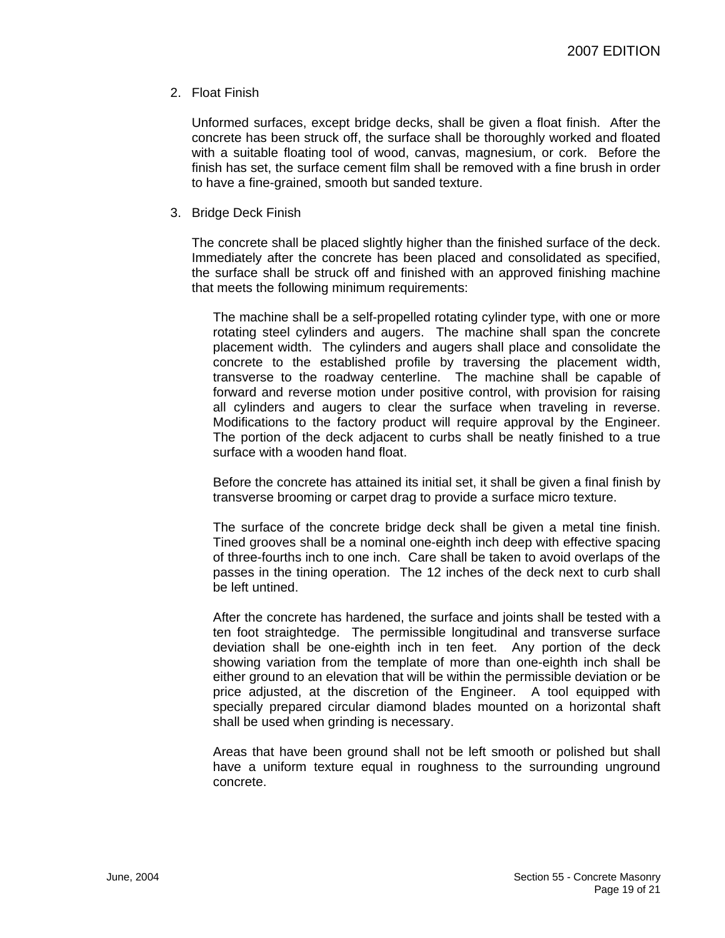## 2. Float Finish

Unformed surfaces, except bridge decks, shall be given a float finish. After the concrete has been struck off, the surface shall be thoroughly worked and floated with a suitable floating tool of wood, canvas, magnesium, or cork. Before the finish has set, the surface cement film shall be removed with a fine brush in order to have a fine-grained, smooth but sanded texture.

3. Bridge Deck Finish

The concrete shall be placed slightly higher than the finished surface of the deck. Immediately after the concrete has been placed and consolidated as specified, the surface shall be struck off and finished with an approved finishing machine that meets the following minimum requirements:

The machine shall be a self-propelled rotating cylinder type, with one or more rotating steel cylinders and augers. The machine shall span the concrete placement width. The cylinders and augers shall place and consolidate the concrete to the established profile by traversing the placement width, transverse to the roadway centerline. The machine shall be capable of forward and reverse motion under positive control, with provision for raising all cylinders and augers to clear the surface when traveling in reverse. Modifications to the factory product will require approval by the Engineer. The portion of the deck adjacent to curbs shall be neatly finished to a true surface with a wooden hand float.

Before the concrete has attained its initial set, it shall be given a final finish by transverse brooming or carpet drag to provide a surface micro texture.

The surface of the concrete bridge deck shall be given a metal tine finish. Tined grooves shall be a nominal one-eighth inch deep with effective spacing of three-fourths inch to one inch. Care shall be taken to avoid overlaps of the passes in the tining operation. The 12 inches of the deck next to curb shall be left untined.

After the concrete has hardened, the surface and joints shall be tested with a ten foot straightedge. The permissible longitudinal and transverse surface deviation shall be one-eighth inch in ten feet. Any portion of the deck showing variation from the template of more than one-eighth inch shall be either ground to an elevation that will be within the permissible deviation or be price adjusted, at the discretion of the Engineer. A tool equipped with specially prepared circular diamond blades mounted on a horizontal shaft shall be used when grinding is necessary.

Areas that have been ground shall not be left smooth or polished but shall have a uniform texture equal in roughness to the surrounding unground concrete.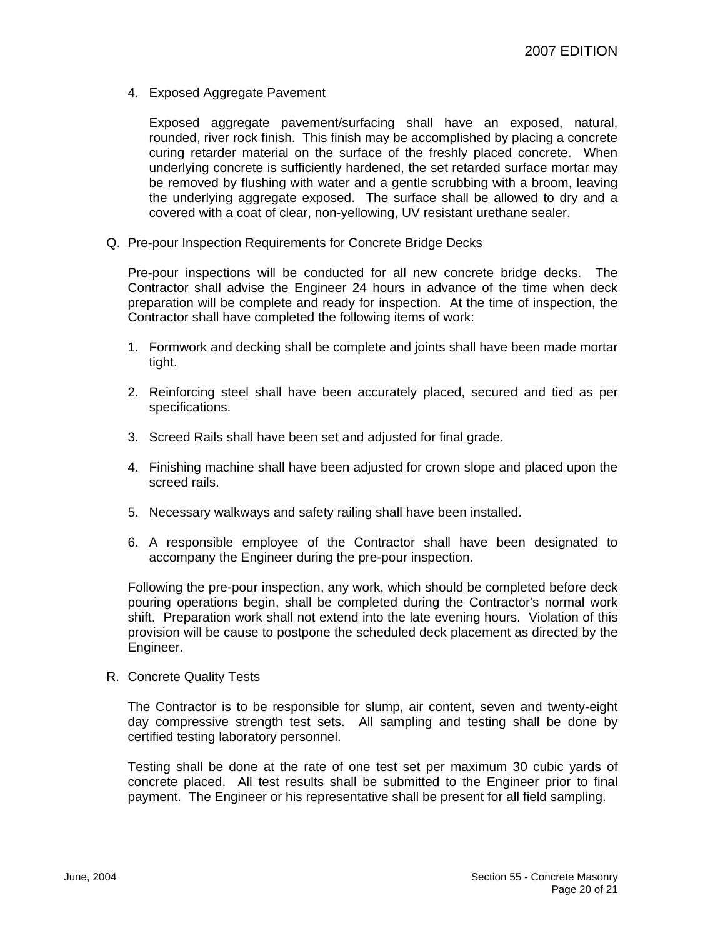4. Exposed Aggregate Pavement

Exposed aggregate pavement/surfacing shall have an exposed, natural, rounded, river rock finish. This finish may be accomplished by placing a concrete curing retarder material on the surface of the freshly placed concrete. When underlying concrete is sufficiently hardened, the set retarded surface mortar may be removed by flushing with water and a gentle scrubbing with a broom, leaving the underlying aggregate exposed. The surface shall be allowed to dry and a covered with a coat of clear, non-yellowing, UV resistant urethane sealer.

Q. Pre-pour Inspection Requirements for Concrete Bridge Decks

Pre-pour inspections will be conducted for all new concrete bridge decks. The Contractor shall advise the Engineer 24 hours in advance of the time when deck preparation will be complete and ready for inspection. At the time of inspection, the Contractor shall have completed the following items of work:

- 1. Formwork and decking shall be complete and joints shall have been made mortar tight.
- 2. Reinforcing steel shall have been accurately placed, secured and tied as per specifications.
- 3. Screed Rails shall have been set and adjusted for final grade.
- 4. Finishing machine shall have been adjusted for crown slope and placed upon the screed rails.
- 5. Necessary walkways and safety railing shall have been installed.
- 6. A responsible employee of the Contractor shall have been designated to accompany the Engineer during the pre-pour inspection.

Following the pre-pour inspection, any work, which should be completed before deck pouring operations begin, shall be completed during the Contractor's normal work shift. Preparation work shall not extend into the late evening hours. Violation of this provision will be cause to postpone the scheduled deck placement as directed by the Engineer.

R. Concrete Quality Tests

The Contractor is to be responsible for slump, air content, seven and twenty-eight day compressive strength test sets. All sampling and testing shall be done by certified testing laboratory personnel.

Testing shall be done at the rate of one test set per maximum 30 cubic yards of concrete placed. All test results shall be submitted to the Engineer prior to final payment. The Engineer or his representative shall be present for all field sampling.